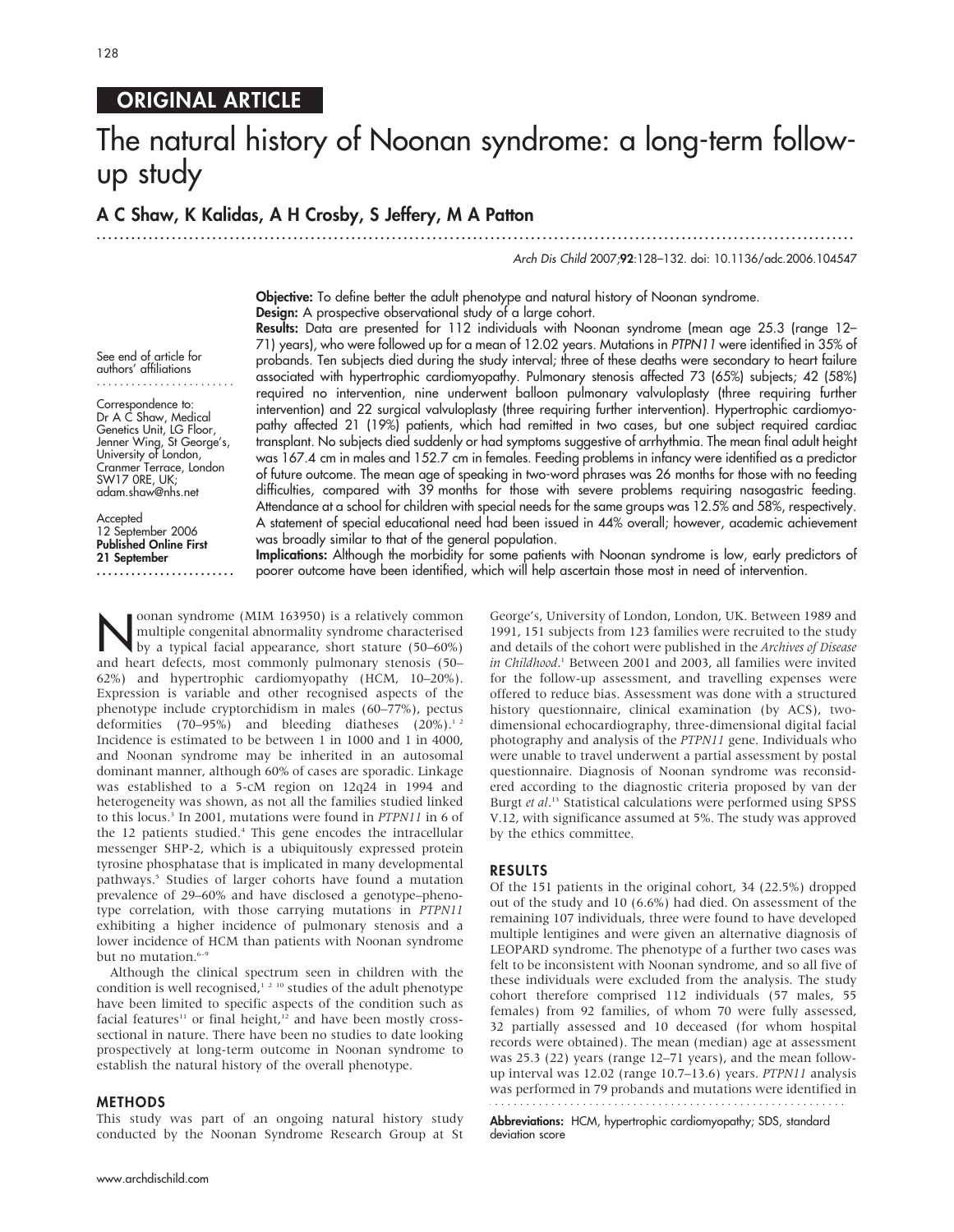# ORIGINAL ARTICLE

# The natural history of Noonan syndrome: a long-term followup study

............................................................... ............................................................... .....

# A C Shaw, K Kalidas, A H Crosby, S Jeffery, M A Patton

Arch Dis Child 2007;92:128–132. doi: 10.1136/adc.2006.104547

Objective: To define better the adult phenotype and natural history of Noonan syndrome. Design: A prospective observational study of a large cohort.

See end of article for authors' affiliations ........................

Correspondence to: Dr A C Shaw, Medical Genetics Unit, LG Floor, Jenner Wing, St George's, University of London, Cranmer Terrace, London SW17 0RE, UK; adam.shaw@nhs.net

**Accepted** 12 September 2006 Published Online First 21 September ........................

Results: Data are presented for 112 individuals with Noonan syndrome (mean age 25.3 (range 12– 71) years), who were followed up for a mean of 12.02 years. Mutations in PTPN11 were identified in 35% of probands. Ten subjects died during the study interval; three of these deaths were secondary to heart failure associated with hypertrophic cardiomyopathy. Pulmonary stenosis affected 73 (65%) subjects; 42 (58%) required no intervention, nine underwent balloon pulmonary valvuloplasty (three requiring further intervention) and 22 surgical valvuloplasty (three requiring further intervention). Hypertrophic cardiomyopathy affected 21 (19%) patients, which had remitted in two cases, but one subject required cardiac transplant. No subjects died suddenly or had symptoms suggestive of arrhythmia. The mean final adult height was 167.4 cm in males and 152.7 cm in females. Feeding problems in infancy were identified as a predictor of future outcome. The mean age of speaking in two-word phrases was 26 months for those with no feeding difficulties, compared with 39 months for those with severe problems requiring nasogastric feeding. Attendance at a school for children with special needs for the same groups was 12.5% and 58%, respectively. A statement of special educational need had been issued in 44% overall; however, academic achievement was broadly similar to that of the general population.

Implications: Although the morbidity for some patients with Noonan syndrome is low, early predictors of poorer outcome have been identified, which will help ascertain those most in need of intervention.

Noonan syndrome (MIM 163950) is a relatively common<br>by a typical facial appearance, short stature (50–60%)<br>and beart defects mest commonly nulmonary stances (50 multiple congenital abnormality syndrome characterised and heart defects, most commonly pulmonary stenosis (50– 62%) and hypertrophic cardiomyopathy (HCM, 10–20%). Expression is variable and other recognised aspects of the phenotype include cryptorchidism in males (60–77%), pectus deformities (70–95%) and bleeding diatheses  $(20\%)$ .<sup>12</sup> Incidence is estimated to be between 1 in 1000 and 1 in 4000, and Noonan syndrome may be inherited in an autosomal dominant manner, although 60% of cases are sporadic. Linkage was established to a 5-cM region on 12q24 in 1994 and heterogeneity was shown, as not all the families studied linked to this locus.<sup>3</sup> In 2001, mutations were found in PTPN11 in 6 of the 12 patients studied.<sup>4</sup> This gene encodes the intracellular messenger SHP-2, which is a ubiquitously expressed protein tyrosine phosphatase that is implicated in many developmental pathways.<sup>5</sup> Studies of larger cohorts have found a mutation prevalence of 29–60% and have disclosed a genotype–phenotype correlation, with those carrying mutations in PTPN11 exhibiting a higher incidence of pulmonary stenosis and a lower incidence of HCM than patients with Noonan syndrome but no mutation.<sup>6-9</sup>

Although the clinical spectrum seen in children with the condition is well recognised, $12^{10}$  studies of the adult phenotype have been limited to specific aspects of the condition such as facial features<sup>11</sup> or final height,<sup>12</sup> and have been mostly crosssectional in nature. There have been no studies to date looking prospectively at long-term outcome in Noonan syndrome to establish the natural history of the overall phenotype.

#### METHODS

This study was part of an ongoing natural history study conducted by the Noonan Syndrome Research Group at St

www.archdischild.com

George's, University of London, London, UK. Between 1989 and 1991, 151 subjects from 123 families were recruited to the study and details of the cohort were published in the Archives of Disease in Childhood.<sup>1</sup> Between 2001 and 2003, all families were invited for the follow-up assessment, and travelling expenses were offered to reduce bias. Assessment was done with a structured history questionnaire, clinical examination (by ACS), twodimensional echocardiography, three-dimensional digital facial photography and analysis of the PTPN11 gene. Individuals who were unable to travel underwent a partial assessment by postal questionnaire. Diagnosis of Noonan syndrome was reconsidered according to the diagnostic criteria proposed by van der Burgt et al.<sup>13</sup> Statistical calculations were performed using SPSS V.12, with significance assumed at 5%. The study was approved by the ethics committee.

#### RESULTS

Of the 151 patients in the original cohort, 34 (22.5%) dropped out of the study and 10 (6.6%) had died. On assessment of the remaining 107 individuals, three were found to have developed multiple lentigines and were given an alternative diagnosis of LEOPARD syndrome. The phenotype of a further two cases was felt to be inconsistent with Noonan syndrome, and so all five of these individuals were excluded from the analysis. The study cohort therefore comprised 112 individuals (57 males, 55 females) from 92 families, of whom 70 were fully assessed, 32 partially assessed and 10 deceased (for whom hospital records were obtained). The mean (median) age at assessment was 25.3 (22) years (range 12–71 years), and the mean followup interval was 12.02 (range 10.7–13.6) years. PTPN11 analysis was performed in 79 probands and mutations were identified in

Abbreviations: HCM, hypertrophic cardiomyopathy; SDS, standard deviation score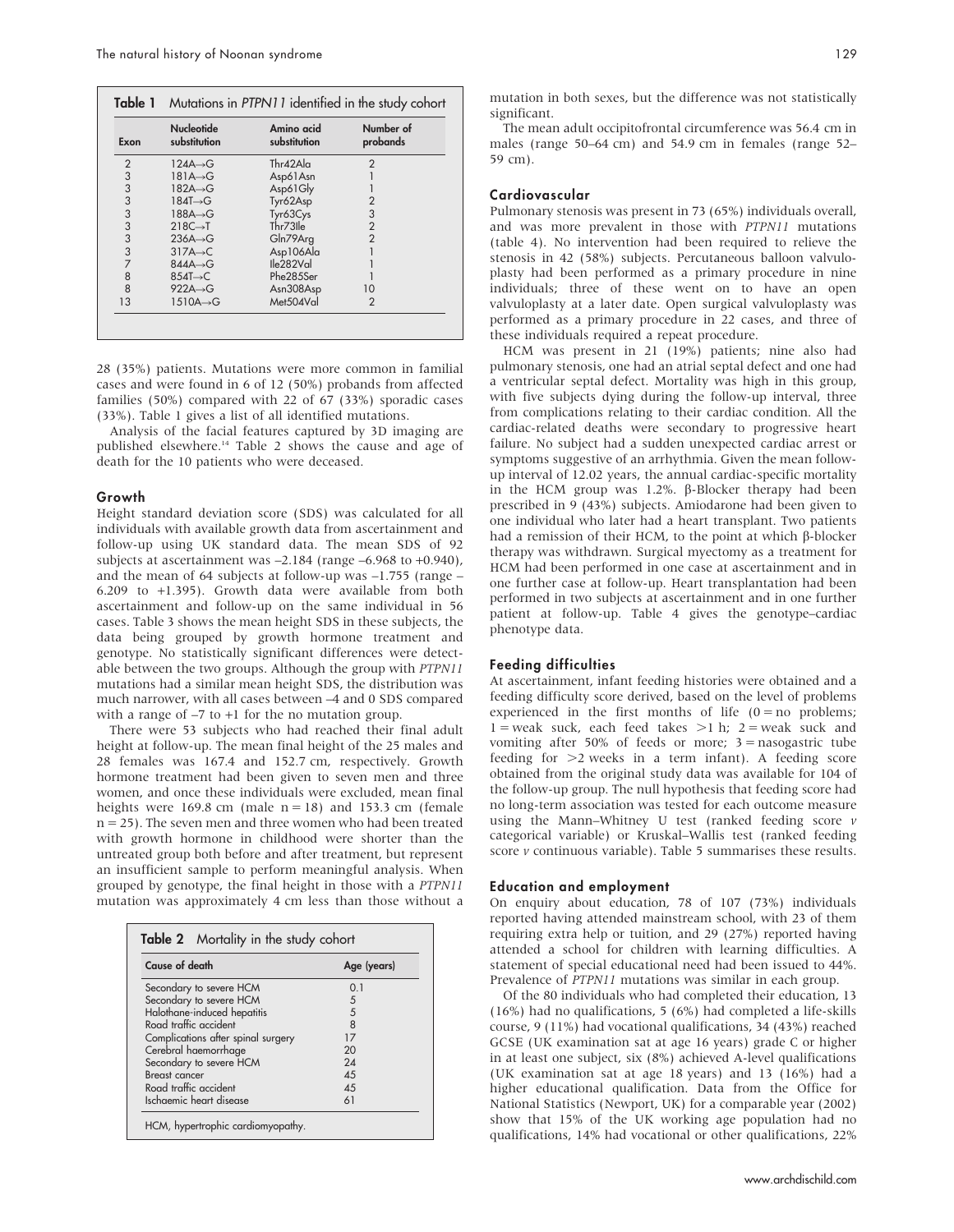| Exon           | <b>Nucleotide</b><br>substitution | Amino acid<br>substitution | Number of<br>probands |
|----------------|-----------------------------------|----------------------------|-----------------------|
| $\overline{2}$ | $124A \rightarrow G$              | Thr42A a                   | $\mathcal{P}$         |
| 3              | $181A \rightarrow G$              | Asp61Asn                   |                       |
| 3              | 182A→G                            | Asp61Gly                   |                       |
| 3              | $184T \rightarrow G$              | Tyr62Asp                   | $\overline{2}$        |
| 3              | $188A \rightarrow G$              | Tyr63Cys                   | 3                     |
| 3              | $218C \rightarrow T$              | Thr73Ile                   | $\overline{2}$        |
| 3              | $236A \rightarrow G$              | Gln79Arg                   | $\overline{2}$        |
| 3              | $317A \rightarrow C$              | Asp106Ala                  |                       |
| 7              | $844A \rightarrow G$              | Ile282Val                  |                       |
| 8              | $854T \rightarrow C$              | Phe285Ser                  |                       |
| 8              | $922A \rightarrow G$              | Asn308Asp                  | 10                    |
| 13             | $1510A \rightarrow G$             | Met504Val                  | $\overline{2}$        |

28 (35%) patients. Mutations were more common in familial cases and were found in 6 of 12 (50%) probands from affected families (50%) compared with 22 of 67 (33%) sporadic cases (33%). Table 1 gives a list of all identified mutations.

Analysis of the facial features captured by 3D imaging are published elsewhere.<sup>14</sup> Table 2 shows the cause and age of death for the 10 patients who were deceased.

#### Growth

Height standard deviation score (SDS) was calculated for all individuals with available growth data from ascertainment and follow-up using UK standard data. The mean SDS of 92 subjects at ascertainment was –2.184 (range –6.968 to +0.940), and the mean of 64 subjects at follow-up was –1.755 (range – 6.209 to +1.395). Growth data were available from both ascertainment and follow-up on the same individual in 56 cases. Table 3 shows the mean height SDS in these subjects, the data being grouped by growth hormone treatment and genotype. No statistically significant differences were detectable between the two groups. Although the group with PTPN11 mutations had a similar mean height SDS, the distribution was much narrower, with all cases between –4 and 0 SDS compared with a range of –7 to +1 for the no mutation group.

There were 53 subjects who had reached their final adult height at follow-up. The mean final height of the 25 males and 28 females was 167.4 and 152.7 cm, respectively. Growth hormone treatment had been given to seven men and three women, and once these individuals were excluded, mean final heights were 169.8 cm (male  $n = 18$ ) and 153.3 cm (female  $n = 25$ ). The seven men and three women who had been treated with growth hormone in childhood were shorter than the untreated group both before and after treatment, but represent an insufficient sample to perform meaningful analysis. When grouped by genotype, the final height in those with a PTPN11 mutation was approximately 4 cm less than those without a

| Cause of death                     | Age (years) |
|------------------------------------|-------------|
| Secondary to severe HCM            | 0.1         |
| Secondary to severe HCM            | 5           |
| Halothane-induced hepatitis        | 5           |
| Road traffic accident              | 8           |
| Complications after spinal surgery | 17          |
| Cerebral haemorrhage               | 20          |
| Secondary to severe HCM            | 24          |
| Breast cancer                      | 45          |
| Road traffic accident              | 45          |
| Ischaemic heart disease            | 61          |

mutation in both sexes, but the difference was not statistically significant.

The mean adult occipitofrontal circumference was 56.4 cm in males (range 50–64 cm) and 54.9 cm in females (range 52– 59 cm).

#### Cardiovascular

Pulmonary stenosis was present in 73 (65%) individuals overall, and was more prevalent in those with PTPN11 mutations (table 4). No intervention had been required to relieve the stenosis in 42 (58%) subjects. Percutaneous balloon valvuloplasty had been performed as a primary procedure in nine individuals; three of these went on to have an open valvuloplasty at a later date. Open surgical valvuloplasty was performed as a primary procedure in 22 cases, and three of these individuals required a repeat procedure.

HCM was present in 21 (19%) patients; nine also had pulmonary stenosis, one had an atrial septal defect and one had a ventricular septal defect. Mortality was high in this group, with five subjects dying during the follow-up interval, three from complications relating to their cardiac condition. All the cardiac-related deaths were secondary to progressive heart failure. No subject had a sudden unexpected cardiac arrest or symptoms suggestive of an arrhythmia. Given the mean followup interval of 12.02 years, the annual cardiac-specific mortality in the HCM group was  $1.2\%$ .  $\beta$ -Blocker therapy had been prescribed in 9 (43%) subjects. Amiodarone had been given to one individual who later had a heart transplant. Two patients had a remission of their HCM, to the point at which  $\beta$ -blocker therapy was withdrawn. Surgical myectomy as a treatment for HCM had been performed in one case at ascertainment and in one further case at follow-up. Heart transplantation had been performed in two subjects at ascertainment and in one further patient at follow-up. Table 4 gives the genotype–cardiac phenotype data.

#### Feeding difficulties

At ascertainment, infant feeding histories were obtained and a feeding difficulty score derived, based on the level of problems experienced in the first months of life  $(0 = no$  problems;  $1 =$  weak suck, each feed takes  $>1$  h; 2 = weak suck and vomiting after 50% of feeds or more;  $3 =$  nasogastric tube feeding for  $\geq 2$  weeks in a term infant). A feeding score obtained from the original study data was available for 104 of the follow-up group. The null hypothesis that feeding score had no long-term association was tested for each outcome measure using the Mann–Whitney U test (ranked feeding score  $\nu$ categorical variable) or Kruskal–Wallis test (ranked feeding score  $\nu$  continuous variable). Table 5 summarises these results.

#### Education and employment

On enquiry about education, 78 of 107 (73%) individuals reported having attended mainstream school, with 23 of them requiring extra help or tuition, and 29 (27%) reported having attended a school for children with learning difficulties. A statement of special educational need had been issued to 44%. Prevalence of PTPN11 mutations was similar in each group.

Of the 80 individuals who had completed their education, 13 (16%) had no qualifications, 5 (6%) had completed a life-skills course, 9 (11%) had vocational qualifications, 34 (43%) reached GCSE (UK examination sat at age 16 years) grade C or higher in at least one subject, six (8%) achieved A-level qualifications (UK examination sat at age 18 years) and 13 (16%) had a higher educational qualification. Data from the Office for National Statistics (Newport, UK) for a comparable year (2002) show that 15% of the UK working age population had no qualifications, 14% had vocational or other qualifications, 22%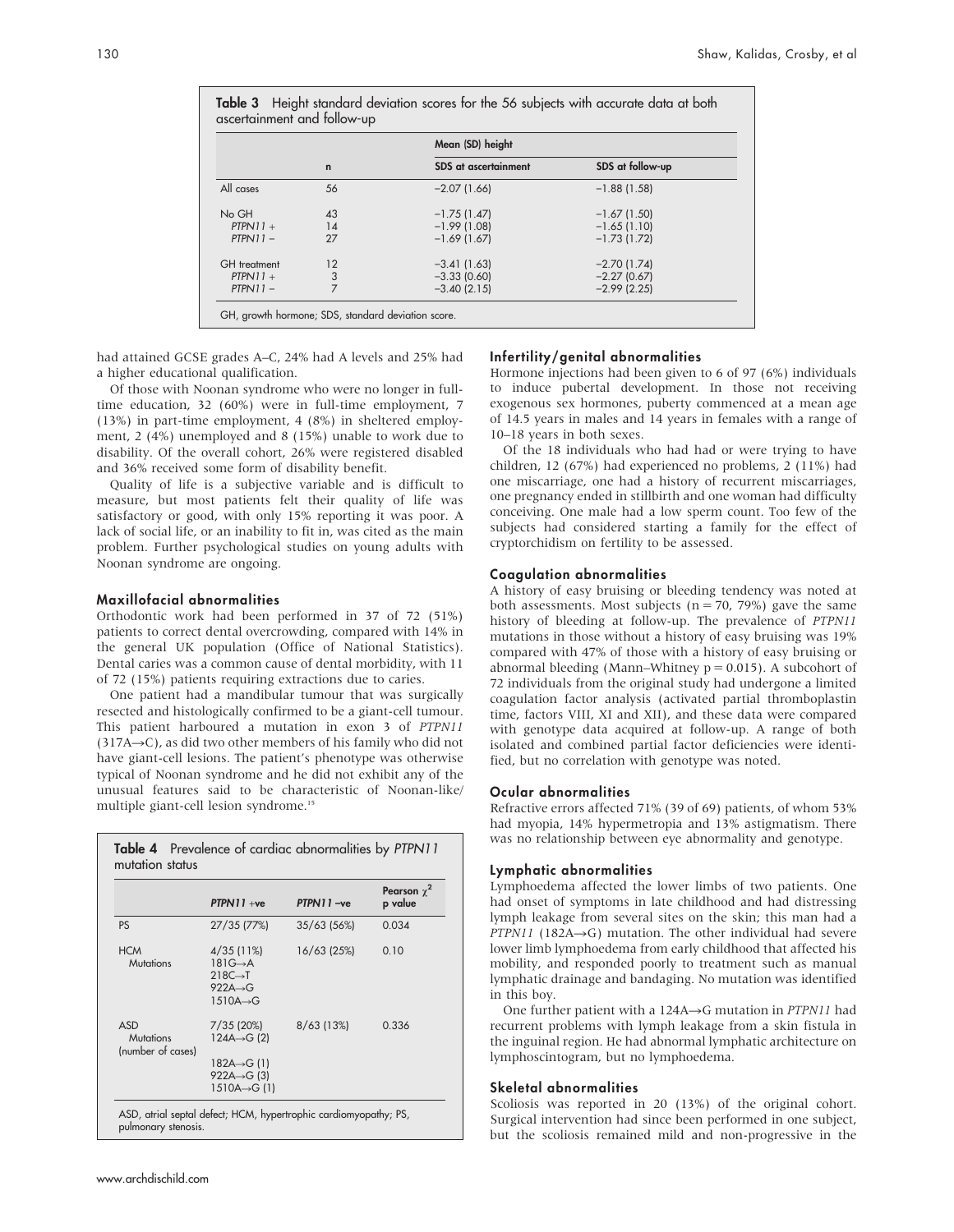|              |              | Mean (SD) height            |                  |
|--------------|--------------|-----------------------------|------------------|
|              | $\mathsf{n}$ | <b>SDS</b> at ascertainment | SDS at follow-up |
| All cases    | 56           | $-2.07(1.66)$               | $-1.88(1.58)$    |
| No GH        | 43           | $-1.75(1.47)$               | $-1.67(1.50)$    |
| $PTPN11 +$   | 14           | $-1.99(1.08)$               | $-1.65(1.10)$    |
| $PTPN11 -$   | 27           | $-1.69(1.67)$               | $-1.73(1.72)$    |
| GH treatment | 12           | $-3.41(1.63)$               | $-2.70(1.74)$    |
| $PTPN11 +$   | 3            | $-3.33(0.60)$               | $-2.27(0.67)$    |
| $PTPN11 -$   | 7            | $-3.40(2.15)$               | $-2.99$ (2.25)   |

had attained GCSE grades A–C, 24% had A levels and 25% had a higher educational qualification.

Of those with Noonan syndrome who were no longer in fulltime education, 32 (60%) were in full-time employment, 7 (13%) in part-time employment, 4 (8%) in sheltered employment, 2 (4%) unemployed and 8 (15%) unable to work due to disability. Of the overall cohort, 26% were registered disabled and 36% received some form of disability benefit.

Quality of life is a subjective variable and is difficult to measure, but most patients felt their quality of life was satisfactory or good, with only 15% reporting it was poor. A lack of social life, or an inability to fit in, was cited as the main problem. Further psychological studies on young adults with Noonan syndrome are ongoing.

## Maxillofacial abnormalities

Orthodontic work had been performed in 37 of 72 (51%) patients to correct dental overcrowding, compared with 14% in the general UK population (Office of National Statistics). Dental caries was a common cause of dental morbidity, with 11 of 72 (15%) patients requiring extractions due to caries.

One patient had a mandibular tumour that was surgically resected and histologically confirmed to be a giant-cell tumour. This patient harboured a mutation in exon 3 of PTPN11  $(317A\rightarrow C)$ , as did two other members of his family who did not have giant-cell lesions. The patient's phenotype was otherwise typical of Noonan syndrome and he did not exhibit any of the unusual features said to be characteristic of Noonan-like/ multiple giant-cell lesion syndrome.<sup>15</sup>

|                                                     | $PTPN11 + ve$                                                                                                            | PTPN11-ve     | Pearson $\chi^2$<br>p value |
|-----------------------------------------------------|--------------------------------------------------------------------------------------------------------------------------|---------------|-----------------------------|
| <b>PS</b>                                           | 27/35 (77%)                                                                                                              | $35/63$ (56%) | 0.034                       |
| <b>HCM</b><br><b>Mutations</b>                      | $4/35(11\%)$<br>$181G \rightarrow A$<br>$218C \rightarrow T$<br>$922A \rightarrow G$<br>$1510A \rightarrow G$            | 16/63 (25%)   | 0.10                        |
| <b>ASD</b><br><b>Mutations</b><br>(number of cases) | 7/35 (20%)<br>$124A \rightarrow G(2)$<br>$182A \rightarrow G(1)$<br>922A $\rightarrow$ G (3)<br>$1510A \rightarrow G(1)$ | $8/63$ (13%)  | 0.336                       |

ASD, atrial septal defect; HCM, hypertrophic cardiomyopathy; PS, pulmonary stenosis.

# Infertility/genital abnormalities

Hormone injections had been given to 6 of 97 (6%) individuals to induce pubertal development. In those not receiving exogenous sex hormones, puberty commenced at a mean age of 14.5 years in males and 14 years in females with a range of 10–18 years in both sexes.

Of the 18 individuals who had had or were trying to have children, 12 (67%) had experienced no problems, 2 (11%) had one miscarriage, one had a history of recurrent miscarriages, one pregnancy ended in stillbirth and one woman had difficulty conceiving. One male had a low sperm count. Too few of the subjects had considered starting a family for the effect of cryptorchidism on fertility to be assessed.

## Coagulation abnormalities

A history of easy bruising or bleeding tendency was noted at both assessments. Most subjects ( $n = 70$ , 79%) gave the same history of bleeding at follow-up. The prevalence of PTPN11 mutations in those without a history of easy bruising was 19% compared with 47% of those with a history of easy bruising or abnormal bleeding (Mann–Whitney  $p = 0.015$ ). A subcohort of 72 individuals from the original study had undergone a limited coagulation factor analysis (activated partial thromboplastin time, factors VIII, XI and XII), and these data were compared with genotype data acquired at follow-up. A range of both isolated and combined partial factor deficiencies were identified, but no correlation with genotype was noted.

#### Ocular abnormalities

Refractive errors affected 71% (39 of 69) patients, of whom 53% had myopia, 14% hypermetropia and 13% astigmatism. There was no relationship between eye abnormality and genotype.

#### Lymphatic abnormalities

Lymphoedema affected the lower limbs of two patients. One had onset of symptoms in late childhood and had distressing lymph leakage from several sites on the skin; this man had a PTPN11 (182A $\rightarrow$ G) mutation. The other individual had severe lower limb lymphoedema from early childhood that affected his mobility, and responded poorly to treatment such as manual lymphatic drainage and bandaging. No mutation was identified in this boy.

One further patient with a  $124A \rightarrow G$  mutation in *PTPN11* had recurrent problems with lymph leakage from a skin fistula in the inguinal region. He had abnormal lymphatic architecture on lymphoscintogram, but no lymphoedema.

#### Skeletal abnormalities

Scoliosis was reported in 20 (13%) of the original cohort. Surgical intervention had since been performed in one subject, but the scoliosis remained mild and non-progressive in the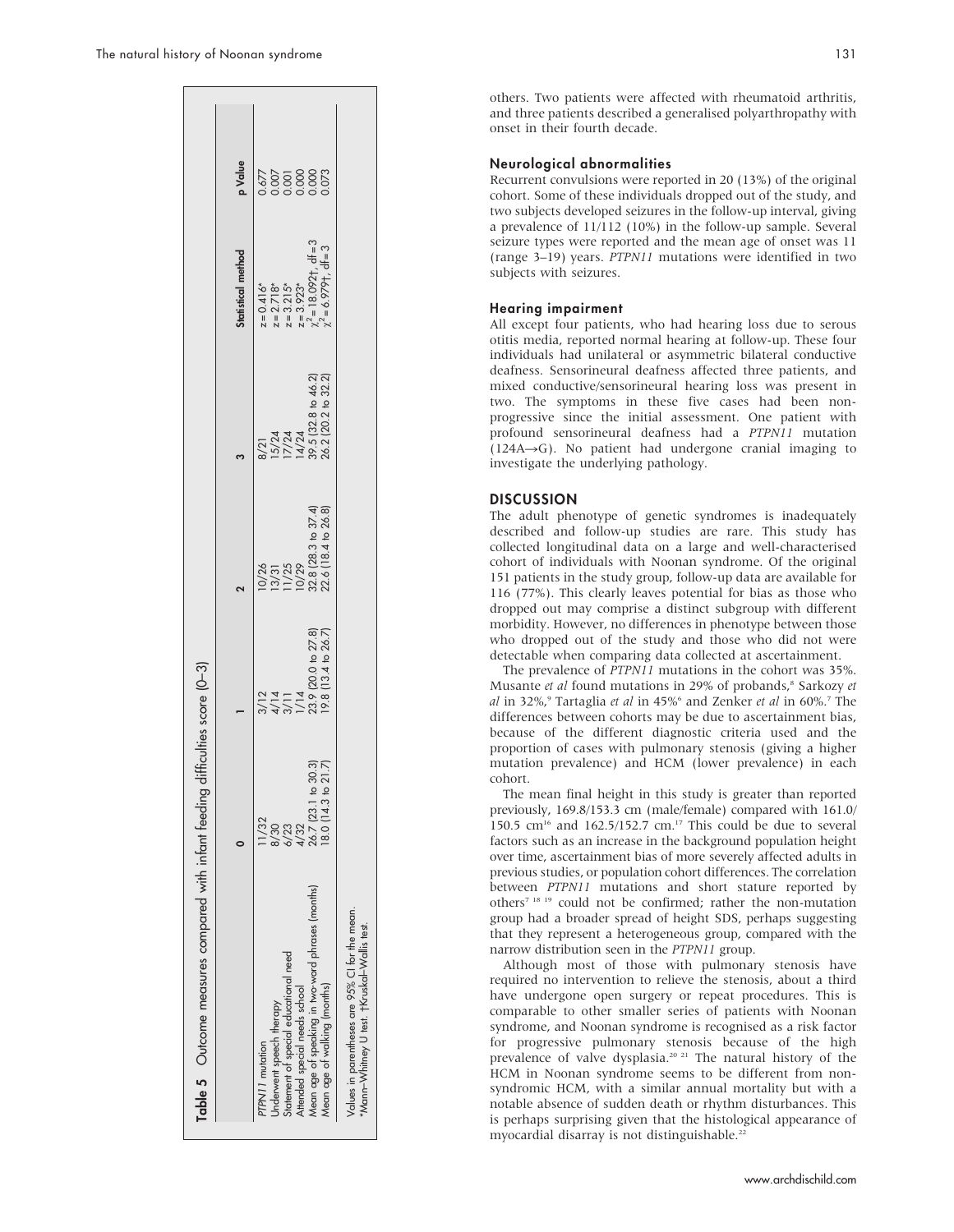| Table 5 Outcome measures compared with infant feeding                                         |                                                   | difficulties score (0-3)                                                             |                                                                                                                            |                                                                               |                                                                                                         |         |
|-----------------------------------------------------------------------------------------------|---------------------------------------------------|--------------------------------------------------------------------------------------|----------------------------------------------------------------------------------------------------------------------------|-------------------------------------------------------------------------------|---------------------------------------------------------------------------------------------------------|---------|
|                                                                                               |                                                   |                                                                                      |                                                                                                                            |                                                                               | Statistical method                                                                                      | p Value |
| PTPN11 mutation                                                                               |                                                   |                                                                                      |                                                                                                                            |                                                                               |                                                                                                         |         |
| Jnderwent speech therapy                                                                      |                                                   |                                                                                      |                                                                                                                            |                                                                               |                                                                                                         |         |
| Statement of special educational need                                                         | 8/30<br>6/23<br>4/32                              |                                                                                      |                                                                                                                            |                                                                               |                                                                                                         |         |
| Attended special needs school                                                                 |                                                   |                                                                                      |                                                                                                                            |                                                                               |                                                                                                         |         |
|                                                                                               | $\overline{O}$<br>26.7 (23.1                      |                                                                                      |                                                                                                                            |                                                                               |                                                                                                         |         |
| Mean age of speaking in two-word phrases (months)<br>Mean age of walking (months)             | $\frac{30.3}{21.7}$<br>$\mathbf{c}$<br>18.0(14.3) | $3/12$<br>$4/14$<br>$3/11$<br>$1/14$<br>$23.9$ (20.0 to 27.8)<br>19.8 (13.4 to 26.7) | $\frac{10/26}{13/31}$<br>$\frac{13/31}{11/25}$<br>$\frac{10/29}{22.8}$ $\frac{28.3 \text{ to } 37.4}{22.6}$ [18.4 to 26.8] | 8/21<br>15/24<br>17/24<br>14/24<br>39.5 (32.8 to 32.2)<br>36.2 (20.2 to 32.2) | $z=0.416*$<br>$z=2.718*$<br>$z=3.215*$<br>$z=3.923*$<br>$x^2=18.092t$ , df = 3<br>$x^2=6.979t$ , df = 3 |         |
| Values in parentheses are 95% CI for the mean.<br>*Mann-Whitney U test. +Kruskal-Wallis test. |                                                   |                                                                                      |                                                                                                                            |                                                                               |                                                                                                         |         |

others. Two patients were affected with rheumatoid arthritis, and three patients described a generalised polyarthropathy with onset in their fourth decade.

#### Neurological abnormalities

Recurrent convulsions were reported in 20 (13%) of the original cohort. Some of these individuals dropped out of the study, and two subjects developed seizures in the follow-up interval, giving a prevalence of 11/112 (10%) in the follow-up sample. Several seizure types were reported and the mean age of onset was 11 (range 3–19) years. PTPN11 mutations were identified in two subjects with seizures.

# Hearing impairment

All except four patients, who had hearing loss due to serous otitis media, reported normal hearing at follow-up. These four individuals had unilateral or asymmetric bilateral conductive deafness. Sensorineural deafness affected three patients, and mixed conductive/sensorineural hearing loss was present in two. The symptoms in these five cases had been nonprogressive since the initial assessment. One patient with profound sensorineural deafness had a PTPN11 mutation  $(124A \rightarrow G)$ . No patient had undergone cranial imaging to investigate the underlying pathology.

## **DISCUSSION**

The adult phenotype of genetic syndromes is inadequately described and follow-up studies are rare. This study has collected longitudinal data on a large and well-characterised cohort of individuals with Noonan syndrome. Of the original 151 patients in the study group, follow-up data are available for 116 (77%). This clearly leaves potential for bias as those who dropped out may comprise a distinct subgroup with different morbidity. However, no differences in phenotype between those who dropped out of the study and those who did not were detectable when comparing data collected at ascertainment.

The prevalence of PTPN11 mutations in the cohort was 35%. Musante et al found mutations in 29% of probands,<sup>8</sup> Sarkozy et al in 32%,<sup>9</sup> Tartaglia et al in 45%<sup>6</sup> and Zenker et al in 60%.<sup>7</sup> The differences between cohorts may be due to ascertainment bias, because of the different diagnostic criteria used and the proportion of cases with pulmonary stenosis (giving a higher mutation prevalence) and HCM (lower prevalence) in each cohort.

The mean final height in this study is greater than reported previously, 169.8/153.3 cm (male/female) compared with 161.0/ 150.5  $cm^{16}$  and 162.5/152.7  $cm^{17}$  This could be due to several factors such as an increase in the background population height over time, ascertainment bias of more severely affected adults in previous studies, or population cohort differences. The correlation between PTPN11 mutations and short stature reported by others7 18 19 could not be confirmed; rather the non-mutation group had a broader spread of height SDS, perhaps suggesting that they represent a heterogeneous group, compared with the narrow distribution seen in the PTPN11 group.

Although most of those with pulmonary stenosis have required no intervention to relieve the stenosis, about a third have undergone open surgery or repeat procedures. This is comparable to other smaller series of patients with Noonan syndrome, and Noonan syndrome is recognised as a risk factor for progressive pulmonary stenosis because of the high prevalence of valve dysplasia.<sup>20 21</sup> The natural history of the HCM in Noonan syndrome seems to be different from nonsyndromic HCM, with a similar annual mortality but with a notable absence of sudden death or rhythm disturbances. This is perhaps surprising given that the histological appearance of myocardial disarray is not distinguishable.<sup>22</sup>